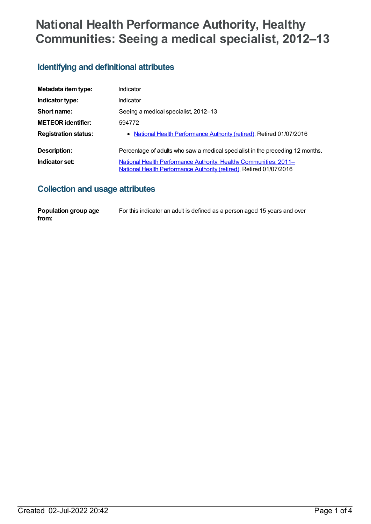# **National Health Performance Authority, Healthy Communities: Seeing a medical specialist, 2012–13**

## **Identifying and definitional attributes**

| Metadata item type:         | Indicator                                                                                                                                |
|-----------------------------|------------------------------------------------------------------------------------------------------------------------------------------|
| Indicator type:             | Indicator                                                                                                                                |
| Short name:                 | Seeing a medical specialist, 2012–13                                                                                                     |
| <b>METEOR identifier:</b>   | 594772                                                                                                                                   |
| <b>Registration status:</b> | • National Health Performance Authority (retired), Retired 01/07/2016                                                                    |
| Description:                | Percentage of adults who saw a medical specialist in the preceding 12 months.                                                            |
| Indicator set:              | National Health Performance Authority: Healthy Communities: 2011-<br>National Health Performance Authority (retired), Retired 01/07/2016 |

## **Collection and usage attributes**

| Population group age | For this indicator an adult is defined as a person aged 15 years and over |
|----------------------|---------------------------------------------------------------------------|
| from:                |                                                                           |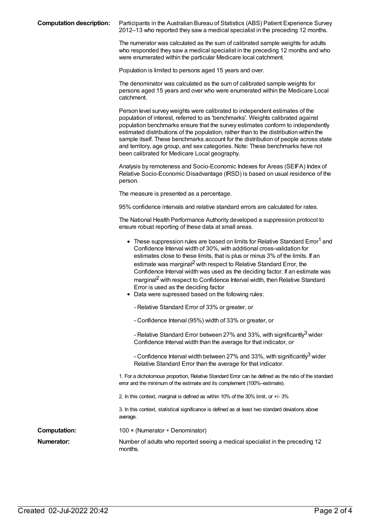**Computation description:** Participants in the Australian Bureau of Statistics (ABS) Patient Experience Survey 2012–13 who reported they saw a medical specialist in the preceding 12 months.

> The numerator was calculated as the sum of calibrated sample weights for adults who responded they saw a medical specialist in the preceding 12 months and who were enumerated within the particular Medicare local catchment.

Population is limited to persons aged 15 years and over.

The denominator was calculated as the sum of calibrated sample weights for persons aged 15 years and over who were enumerated within the Medicare Local catchment.

Person level survey weights were calibrated to independent estimates of the population of interest, referred to as 'benchmarks'. Weights calibrated against population benchmarks ensure that the survey estimates conform to independently estimated distributions of the population, rather than to the distribution within the sample itself. These benchmarks account for the distribution of people across state and territory, age group, and sex categories. Note: These benchmarks have not been calibrated for Medicare Local geography.

Analysis by remoteness and Socio-Economic Indexes for Areas (SEIFA) Index of Relative Socio-Economic Disadvantage (IRSD) is based on usual residence of the person.

The measure is presented as a percentage.

95% confidence intervals and relative standard errors are calculated for rates.

The National Health Performance Authority developed a suppression protocol to ensure robust reporting of these data at small areas.

|                     | • These suppression rules are based on limits for Relative Standard Error <sup>1</sup> and<br>Confidence Interval width of 30%, with additional cross-validation for<br>estimates close to these limits, that is plus or minus 3% of the limits. If an<br>estimate was marginal <sup>2</sup> with respect to Relative Standard Error, the<br>Confidence Interval width was used as the deciding factor. If an estimate was<br>marginal <sup>2</sup> with respect to Confidence Interval width, then Relative Standard<br>Error is used as the deciding factor<br>• Data were supressed based on the following rules: |
|---------------------|----------------------------------------------------------------------------------------------------------------------------------------------------------------------------------------------------------------------------------------------------------------------------------------------------------------------------------------------------------------------------------------------------------------------------------------------------------------------------------------------------------------------------------------------------------------------------------------------------------------------|
|                     | - Relative Standard Error of 33% or greater, or                                                                                                                                                                                                                                                                                                                                                                                                                                                                                                                                                                      |
|                     | - Confidence Interval (95%) width of 33% or greater, or                                                                                                                                                                                                                                                                                                                                                                                                                                                                                                                                                              |
|                     | - Relative Standard Error between 27% and 33%, with significantly <sup>3</sup> wider<br>Confidence Interval width than the average for that indicator, or                                                                                                                                                                                                                                                                                                                                                                                                                                                            |
|                     | - Confidence Interval width between 27% and 33%, with significantly <sup>3</sup> wider<br>Relative Standard Error than the average for that indicator.                                                                                                                                                                                                                                                                                                                                                                                                                                                               |
|                     | 1. For a dichotomous proportion, Relative Standard Error can be defined as the ratio of the standard<br>error and the minimum of the estimate and its complement (100%-estimate).                                                                                                                                                                                                                                                                                                                                                                                                                                    |
|                     | 2. In this context, marginal is defined as within 10% of the 30% limit, or +/-3%                                                                                                                                                                                                                                                                                                                                                                                                                                                                                                                                     |
|                     | 3. In this context, statistical significance is defined as at least two standard deviations above<br>average.                                                                                                                                                                                                                                                                                                                                                                                                                                                                                                        |
| <b>Computation:</b> | 100 × (Numerator ÷ Denominator)                                                                                                                                                                                                                                                                                                                                                                                                                                                                                                                                                                                      |
| Numerator:          | Number of adults who reported seeing a medical specialist in the preceding 12<br>months.                                                                                                                                                                                                                                                                                                                                                                                                                                                                                                                             |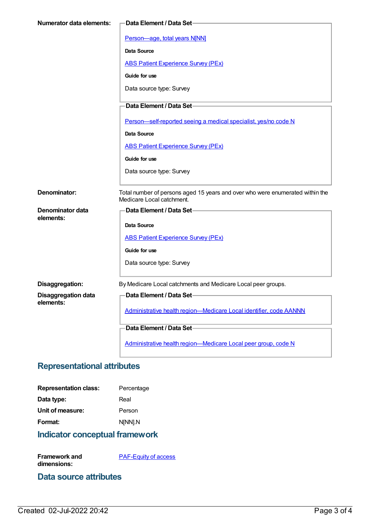| <b>Numerator data elements:</b> | <b>Data Element / Data Set-</b>                                                                            |
|---------------------------------|------------------------------------------------------------------------------------------------------------|
|                                 |                                                                                                            |
|                                 | Person-age, total years N[NN]                                                                              |
|                                 | <b>Data Source</b>                                                                                         |
|                                 | <b>ABS Patient Experience Survey (PEx)</b>                                                                 |
|                                 | Guide for use                                                                                              |
|                                 | Data source type: Survey                                                                                   |
|                                 | Data Element / Data Set-                                                                                   |
|                                 | Person-self-reported seeing a medical specialist, yes/no code N                                            |
|                                 | Data Source                                                                                                |
|                                 | <b>ABS Patient Experience Survey (PEx)</b>                                                                 |
|                                 | Guide for use                                                                                              |
|                                 | Data source type: Survey                                                                                   |
|                                 |                                                                                                            |
| Denominator:                    | Total number of persons aged 15 years and over who were enumerated within the<br>Medicare Local catchment. |
| <b>Denominator data</b>         | Data Element / Data Set-                                                                                   |
| elements:                       | Data Source                                                                                                |
|                                 | <b>ABS Patient Experience Survey (PEx)</b>                                                                 |
|                                 | Guide for use                                                                                              |
|                                 |                                                                                                            |
|                                 | Data source type: Survey                                                                                   |
| Disaggregation:                 | By Medicare Local catchments and Medicare Local peer groups.                                               |
| <b>Disaggregation data</b>      | <b>Data Element / Data Set-</b>                                                                            |
| elements:                       | Administrative health region-Medicare Local identifier, code AANNN                                         |
|                                 | Data Element / Data Set-                                                                                   |
|                                 |                                                                                                            |
|                                 | Administrative health region-Medicare Local peer group, code N                                             |

# **Representational attributes**

| <b>Representation class:</b> | Percentage |
|------------------------------|------------|
| Data type:                   | Real       |
| Unit of measure:             | Person     |
| Format:                      | N[NN].N    |
|                              |            |

**Indicator conceptual framework**

**Framework and dimensions: [PAF-Equity](https://meteor.aihw.gov.au/content/554927) of access** 

#### **Data source attributes**